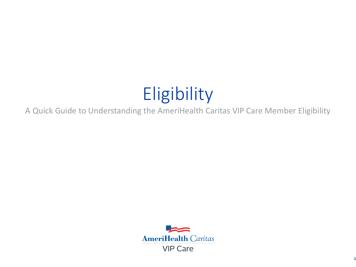# Eligibility

A Quick Guide to Understanding the AmeriHealth Caritas VIP Care Member Eligibility

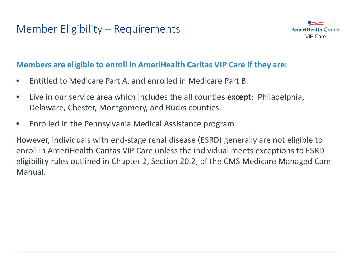### Member Eligibility – Requirements



### **Members are eligible to enroll in AmeriHealth Caritas VIP Care if they are:**

- Entitled to Medicare Part A, and enrolled in Medicare Part B.
- Live in our service area which includes the all counties **except**: Philadelphia, Delaware, Chester, Montgomery, and Bucks counties.
- Enrolled in the Pennsylvania Medical Assistance program.

However, individuals with end-stage renal disease (ESRD) generally are not eligible to enroll in AmeriHealth Caritas VIP Care unless the individual meets exceptions to ESRD eligibility rules outlined in Chapter 2, Section 20.2, of the CMS Medicare Managed Care Manual.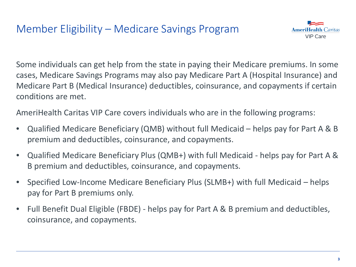### Member Eligibility – Medicare Savings Program



Some individuals can get help from the state in paying their Medicare premiums. In some cases, Medicare Savings Programs may also pay Medicare Part A (Hospital Insurance) and Medicare Part B (Medical Insurance) deductibles, coinsurance, and copayments if certain conditions are met.

AmeriHealth Caritas VIP Care covers individuals who are in the following programs:

- Qualified Medicare Beneficiary (QMB) without full Medicaid helps pay for Part A & B premium and deductibles, coinsurance, and copayments.
- Qualified Medicare Beneficiary Plus (QMB+) with full Medicaid helps pay for Part A & B premium and deductibles, coinsurance, and copayments.
- Specified Low-Income Medicare Beneficiary Plus (SLMB+) with full Medicaid helps pay for Part B premiums only.
- Full Benefit Dual Eligible (FBDE) helps pay for Part A & B premium and deductibles, coinsurance, and copayments.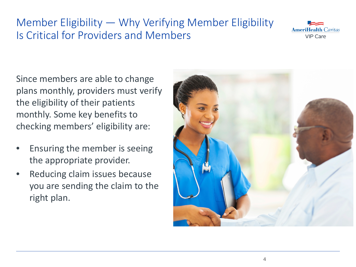# Member Eligibility — Why Verifying Member Eligibility Is Critical for Providers and Members



Since members are able to change plans monthly, providers must verify the eligibility of their patients monthly. Some key benefits to checking members' eligibility are:

- Ensuring the member is seeing the appropriate provider.
- Reducing claim issues because you are sending the claim to the right plan.

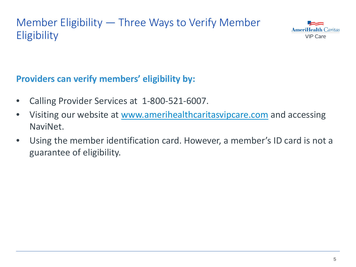# Member Eligibility — Three Ways to Verify Member **Eligibility**



### **Providers can verify members' eligibility by:**

- Calling Provider Services at 1-800-521-6007.
- Visiting our website at [www.amerihealthcaritasvipcare.com](http://www.keystonevipchoice.com/) and accessing NaviNet.
- Using the member identification card. However, a member's ID card is not a guarantee of eligibility.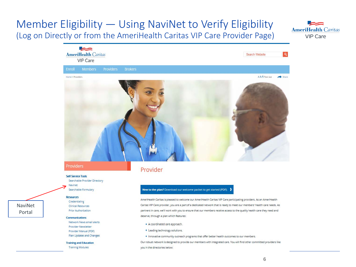### Member Eligibility — Using NaviNet to Verify Eligibility (Log on Directly or from the AmeriHealth Caritas VIP Care Provider Page)

**AmeriHealth Caritas VIP Care** 



NaviNet Portal

#### **6**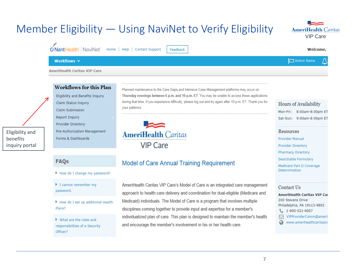# Member Eligibility - Using NaviNet to Verify Eligibility

Workfl

**AmeriHeal** 

O Nant Health' NaviNet' Home | Help | Contact Support | Feedback

**AmeriHealth Caritas VIP Care** 

|                     | lealth'  NaviNet Home   Help   Contact Support   Feedback |  |  |              | Welcome, |  |  |  |
|---------------------|-----------------------------------------------------------|--|--|--------------|----------|--|--|--|
| $0WS \times$        |                                                           |  |  | Action Items | $\Delta$ |  |  |  |
| th Caritas VIP Care |                                                           |  |  |              |          |  |  |  |

#### **Workflows for this Plan**

Eligibility and Benefits Inquiry Claim Status Inquiry Claim Submission **Report Inquiry** Provider Directory Pre-Authorization Management Forms & Dashboards

Planned maintenance to the Care Gaps and Intensive Case Management platforms may occur on Thursday evenings between 6 p.m. and 10 p.m. ET. You may be unable to access these applications during that time. If you experience difficulty, please log out and try again after 10 p.m. ET. Thank you for your patience.



#### **FAQs**

#### **Model of Care Annual Training Requirement**

How do I change my password?

I cannot remember my password.

How do I set up additional Health Plans?

 $\blacktriangleright$  What are the roles and responsibilities of a Security Officer?

AmeriHealth Caritas VIP Care's Model of Care is an integrated care management approach to health care delivery and coordination for dual-eligible (Medicare and Medicaid) individuals. The Model of Care is a program that involves multiple disciplines coming together to provide input and expertise for a member's individualized plan of care. This plan is designed to maintain the member's health and encourage the member's involvement in his or her health care.

Hours of Availability Mon-Fri: 8:00am-8:00pm ET

Sat-Sun: 9:00am-8:00pm ET

#### Resources

**Provider Manual** 

**Provider Directory** 

**Pharmacy Directory** 

Searchable Formulary

Medicare Part D Coverage Determination

#### Contact Us

**AmeriHealth Caritas VIP Car** 200 Stevens Drive Philadelphia, PA 19113-9802  $1 - 800 - 521 - 6007$ 罓 VIPProviderComm@ameril

www.amerihealthcaritasvi Q

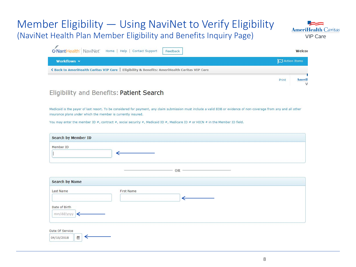### Member Eligibility — Using NaviNet to Verify Eligibility (NaviNet Health Plan Member Eligibility and Benefits Inquiry Page)



| O NantHealth NaviNet<br>Home   Help   Contact Support<br>Feedback                             |              | Welcor                         |  |
|-----------------------------------------------------------------------------------------------|--------------|--------------------------------|--|
| Workflows <b>v</b>                                                                            | Action Items |                                |  |
| K Back to AmeriHealth Caritas VIP Care   Eligibility & Benefits: AmeriHealth Caritas VIP Care |              |                                |  |
|                                                                                               | Print        | <b>Ameril</b><br>$\mathcal{U}$ |  |

#### Eligibility and Benefits: Patient Search

Medicaid is the payer of last resort. To be considered for payment, any claim submission must include a valid EOB or evidence of non-coverage from any and all other insurance plans under which the member is currently insured.

You may enter the member ID #, contract #, social security #, Medicaid ID #, Medicare ID # or HICN # in the Member ID field.

| <b>Search by Member ID</b>         |            |
|------------------------------------|------------|
| Member ID                          |            |
|                                    | OR         |
| <b>Search by Name</b>              |            |
| Last Name                          | First Name |
| Date of Birth<br>mm/dd/yyyy<br>↞   |            |
| Date Of Service<br>曲<br>04/16/2018 |            |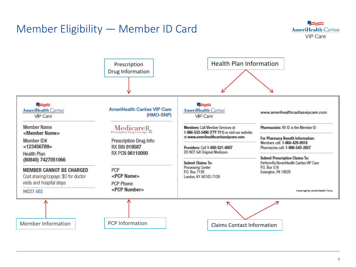## Member Eligibility — Member ID Card



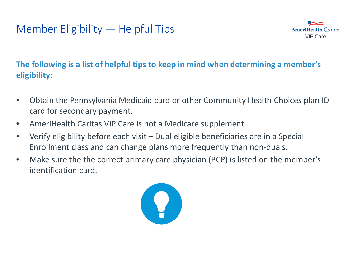# Member Eligibility — Helpful Tips



### **The following is a list of helpful tips to keep in mind when determining a member's eligibility:**

- Obtain the Pennsylvania Medicaid card or other Community Health Choices plan ID card for secondary payment.
- AmeriHealth Caritas VIP Care is not a Medicare supplement.
- Verify eligibility before each visit Dual eligible beneficiaries are in a Special Enrollment class and can change plans more frequently than non-duals.
- Make sure the the correct primary care physician (PCP) is listed on the member's identification card.